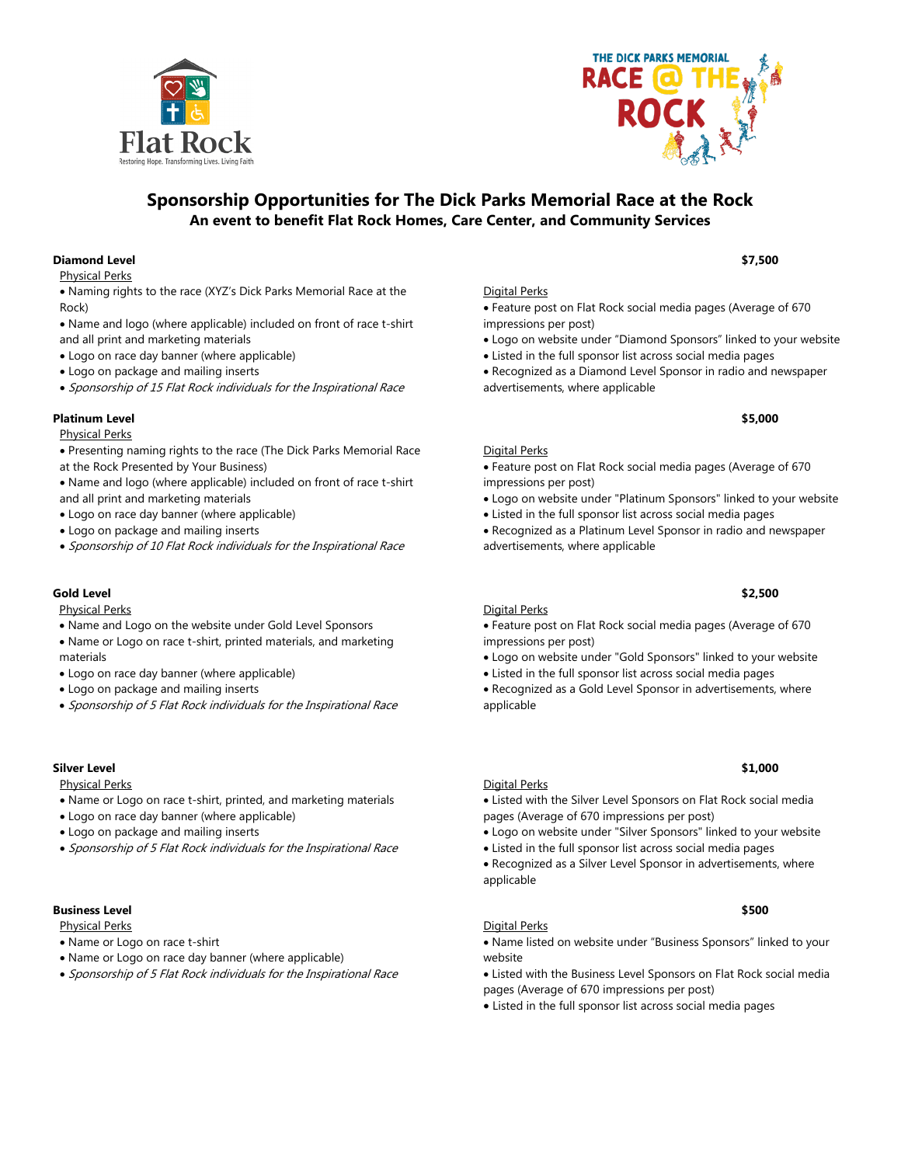



# **Sponsorship Opportunities for The Dick Parks Memorial Race at the Rock An event to benefit Flat Rock Homes, Care Center, and Community Services**

# **Diamond Level \$7,500**

Physical Perks

- Naming rights to the race (XYZ's Dick Parks Memorial Race at the Rock)
- Name and logo (where applicable) included on front of race t-shirt and all print and marketing materials
- Logo on race day banner (where applicable)
- Logo on package and mailing inserts
- Sponsorship of 15 Flat Rock individuals for the Inspirational Race

# **Platinum Level \$5,000**

### Physical Perks

- Presenting naming rights to the race (The Dick Parks Memorial Race at the Rock Presented by Your Business)
- Name and logo (where applicable) included on front of race t-shirt and all print and marketing materials
- Logo on race day banner (where applicable)
- Logo on package and mailing inserts
- Sponsorship of 10 Flat Rock individuals for the Inspirational Race

# **Gold Level \$2,500**

Physical Perks

- Name and Logo on the website under Gold Level Sponsors
- Name or Logo on race t-shirt, printed materials, and marketing materials
- Logo on race day banner (where applicable)
- Logo on package and mailing inserts
- Sponsorship of 5 Flat Rock individuals for the Inspirational Race

# **Silver Level \$1,000**

Physical Perks

- Name or Logo on race t-shirt, printed, and marketing materials
- Logo on race day banner (where applicable)
- Logo on package and mailing inserts
- Sponsorship of 5 Flat Rock individuals for the Inspirational Race

### **Business Level \$500**

Physical Perks

- Name or Logo on race t-shirt
- Name or Logo on race day banner (where applicable)
- Sponsorship of 5 Flat Rock individuals for the Inspirational Race

### Digital Perks

### • Feature post on Flat Rock social media pages (Average of 670 impressions per post)

- Logo on website under "Diamond Sponsors" linked to your website
- Listed in the full sponsor list across social media pages
- Recognized as a Diamond Level Sponsor in radio and newspaper advertisements, where applicable

### Digital Perks

• Feature post on Flat Rock social media pages (Average of 670 impressions per post)

- Logo on website under "Platinum Sponsors" linked to your website
- Listed in the full sponsor list across social media pages
- Recognized as a Platinum Level Sponsor in radio and newspaper advertisements, where applicable

# Digital Perks

### • Feature post on Flat Rock social media pages (Average of 670 impressions per post)

- Logo on website under "Gold Sponsors" linked to your website
- Listed in the full sponsor list across social media pages

• Recognized as a Gold Level Sponsor in advertisements, where applicable

### Digital Perks

- Listed with the Silver Level Sponsors on Flat Rock social media pages (Average of 670 impressions per post)
- Logo on website under "Silver Sponsors" linked to your website
- Listed in the full sponsor list across social media pages
- Recognized as a Silver Level Sponsor in advertisements, where applicable

### Digital Perks

• Name listed on website under "Business Sponsors" linked to your website

- Listed with the Business Level Sponsors on Flat Rock social media pages (Average of 670 impressions per post)
- 
- Listed in the full sponsor list across social media pages